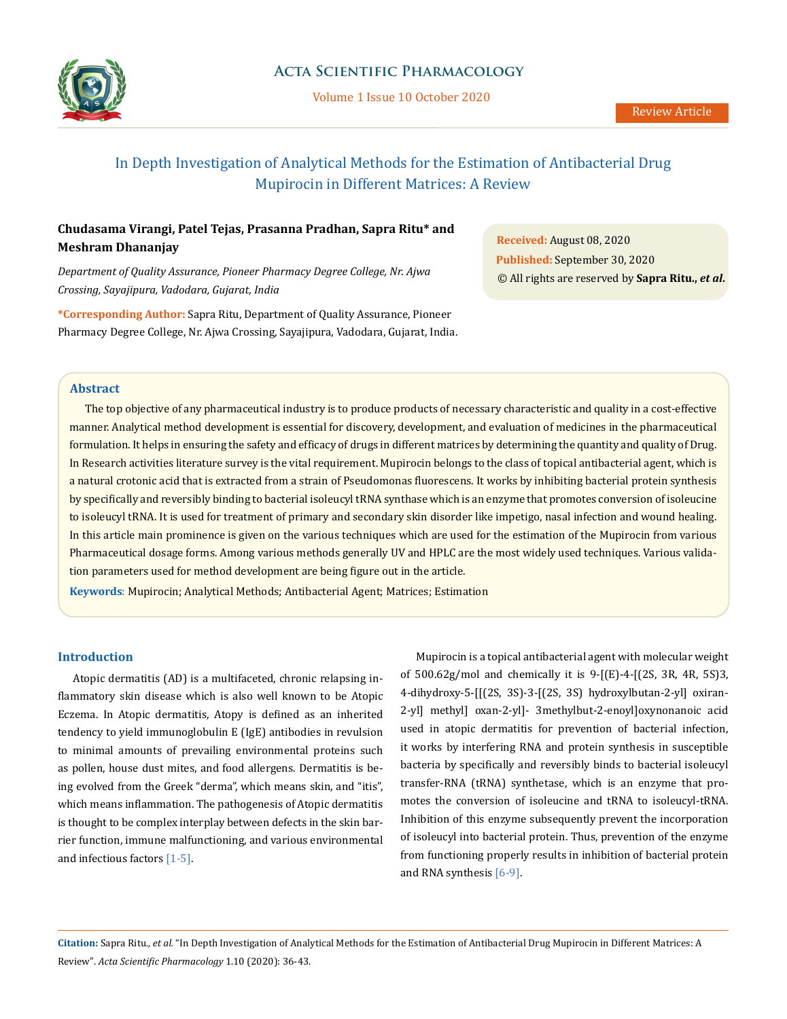

Volume 1 Issue 10 October 2020

# In Depth Investigation of Analytical Methods for the Estimation of Antibacterial Drug Mupirocin in Different Matrices: A Review

## **Chudasama Virangi, Patel Tejas, Prasanna Pradhan, Sapra Ritu\* and Meshram Dhananjay**

*Department of Quality Assurance, Pioneer Pharmacy Degree College, Nr. Ajwa Crossing, Sayajipura, Vadodara, Gujarat, India*

**\*Corresponding Author:** Sapra Ritu, Department of Quality Assurance, Pioneer Pharmacy Degree College, Nr. Ajwa Crossing, Sayajipura, Vadodara, Gujarat, India.

**Received:** August 08, 2020 **Published:** September 30, 2020 © All rights are reserved by **Sapra Ritu.,** *et al***.**

#### **Abstract**

The top objective of any pharmaceutical industry is to produce products of necessary characteristic and quality in a cost-effective manner. Analytical method development is essential for discovery, development, and evaluation of medicines in the pharmaceutical formulation. It helps in ensuring the safety and efficacy of drugs in different matrices by determining the quantity and quality of Drug. In Research activities literature survey is the vital requirement. Mupirocin belongs to the class of topical antibacterial agent, which is a natural crotonic acid that is extracted from a strain of Pseudomonas fluorescens. It works by inhibiting bacterial protein synthesis by specifically and reversibly binding to bacterial isoleucyl tRNA synthase which is an enzyme that promotes conversion of isoleucine to isoleucyl tRNA. It is used for treatment of primary and secondary skin disorder like impetigo, nasal infection and wound healing. In this article main prominence is given on the various techniques which are used for the estimation of the Mupirocin from various Pharmaceutical dosage forms. Among various methods generally UV and HPLC are the most widely used techniques. Various validation parameters used for method development are being figure out in the article.

**Keywords**: Mupirocin; Analytical Methods; Antibacterial Agent; Matrices; Estimation

### **Introduction**

Atopic dermatitis (AD) is a multifaceted, chronic relapsing inflammatory skin disease which is also well known to be Atopic Eczema. In Atopic dermatitis, Atopy is defined as an inherited tendency to yield immunoglobulin E (IgE) antibodies in revulsion to minimal amounts of prevailing environmental proteins such as pollen, house dust mites, and food allergens. Dermatitis is being evolved from the Greek "derma", which means skin, and "itis", which means inflammation. The pathogenesis of Atopic dermatitis is thought to be complex interplay between defects in the skin barrier function, immune malfunctioning, and various environmental and infectious factors [1-5].

Mupirocin is a topical antibacterial agent with molecular weight of 500.62g/mol and chemically it is 9-[(E)-4-[(2S, 3R, 4R, 5S)3, 4-dihydroxy-5-[[(2S, 3S)-3-[(2S, 3S) hydroxylbutan-2-yl] oxiran-2-yl] methyl] oxan-2-yl]- 3methylbut-2-enoyl]oxynonanoic acid used in atopic dermatitis for prevention of bacterial infection, it works by interfering RNA and protein synthesis in susceptible bacteria by specifically and reversibly binds to bacterial isoleucyl transfer-RNA (tRNA) synthetase, which is an enzyme that promotes the conversion of isoleucine and tRNA to isoleucyl-tRNA. Inhibition of this enzyme subsequently prevent the incorporation of isoleucyl into bacterial protein. Thus, prevention of the enzyme from functioning properly results in inhibition of bacterial protein and RNA synthesis [6-9].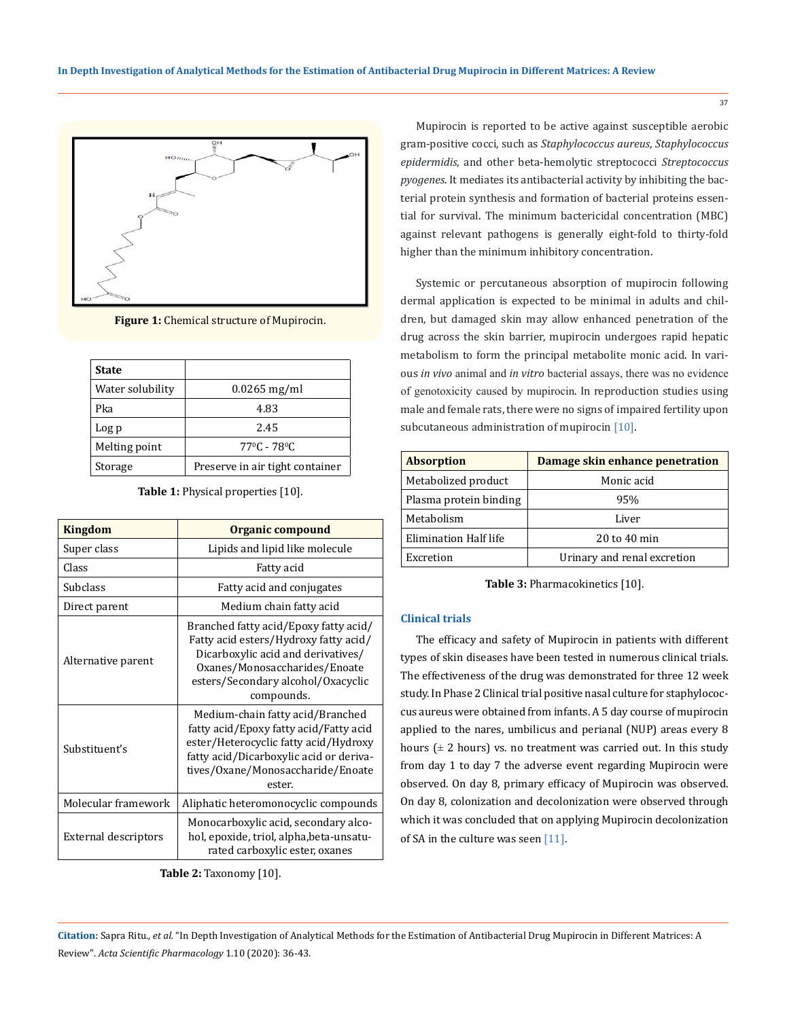

**Figure 1:** Chemical structure of Mupirocin.

| <b>State</b>     |                                    |
|------------------|------------------------------------|
| Water solubility | $0.0265$ mg/ml                     |
| Pka              | 4.83                               |
| Log p            | 2.45                               |
| Melting point    | $77^{\circ}$ C - 78 <sup>°</sup> C |
| Storage          | Preserve in air tight container    |

**Table 1:** Physical properties [10].

| <b>Kingdom</b>       | Organic compound                                                                                                                                                                                              |  |
|----------------------|---------------------------------------------------------------------------------------------------------------------------------------------------------------------------------------------------------------|--|
| Super class          | Lipids and lipid like molecule                                                                                                                                                                                |  |
| Class                | Fatty acid                                                                                                                                                                                                    |  |
| Subclass             | Fatty acid and conjugates                                                                                                                                                                                     |  |
| Direct parent        | Medium chain fatty acid                                                                                                                                                                                       |  |
| Alternative parent   | Branched fatty acid/Epoxy fatty acid/<br>Fatty acid esters/Hydroxy fatty acid/<br>Dicarboxylic acid and derivatives/<br>Oxanes/Monosaccharides/Enoate<br>esters/Secondary alcohol/Oxacyclic<br>compounds.     |  |
| Substituent's        | Medium-chain fatty acid/Branched<br>fatty acid/Epoxy fatty acid/Fatty acid<br>ester/Heterocyclic fatty acid/Hydroxy<br>fatty acid/Dicarboxylic acid or deriva-<br>tives/Oxane/Monosaccharide/Enoate<br>ester. |  |
| Molecular framework  | Aliphatic heteromonocyclic compounds                                                                                                                                                                          |  |
| External descriptors | Monocarboxylic acid, secondary alco-<br>hol, epoxide, triol, alpha, beta-unsatu-<br>rated carboxylic ester, oxanes                                                                                            |  |

**Table 2:** Taxonomy [10].

Mupirocin is reported to be active against susceptible aerobic gram-positive cocci, such as *Staphylococcus aureus*, *Staphylococcus epidermidis*, and other beta-hemolytic streptococci *Streptococcus pyogenes*. It mediates its antibacterial activity by inhibiting the bacterial protein synthesis and formation of bacterial proteins essential for survival. The minimum bactericidal concentration (MBC) against relevant pathogens is generally eight-fold to thirty-fold higher than the minimum inhibitory concentration.

Systemic or percutaneous absorption of mupirocin following dermal application is expected to be minimal in adults and children, but damaged skin may allow enhanced penetration of the drug across the skin barrier, mupirocin undergoes rapid hepatic metabolism to form the principal metabolite monic acid. In various *in vivo* animal and *in vitro* bacterial assays, there was no evidence of genotoxicity caused by mupirocin. In reproduction studies using male and female rats, there were no signs of impaired fertility upon subcutaneous administration of mupirocin [10].

| <b>Absorption</b>      | Damage skin enhance penetration |  |
|------------------------|---------------------------------|--|
| Metabolized product    | Monic acid                      |  |
| Plasma protein binding | 95%                             |  |
| Metabolism             | Liver                           |  |
| Elimination Half life  | $20$ to $40$ min                |  |
| Excretion              | Urinary and renal excretion     |  |

**Table 3:** Pharmacokinetics [10].

#### **Clinical trials**

The efficacy and safety of Mupirocin in patients with different types of skin diseases have been tested in numerous clinical trials. The effectiveness of the drug was demonstrated for three 12 week study. In Phase 2 Clinical trial positive nasal culture for staphylococcus aureus were obtained from infants. A 5 day course of mupirocin applied to the nares, umbilicus and perianal (NUP) areas every 8 hours ( $\pm$  2 hours) vs. no treatment was carried out. In this study from day 1 to day 7 the adverse event regarding Mupirocin were observed. On day 8, primary efficacy of Mupirocin was observed. On day 8, colonization and decolonization were observed through which it was concluded that on applying Mupirocin decolonization of SA in the culture was seen [11].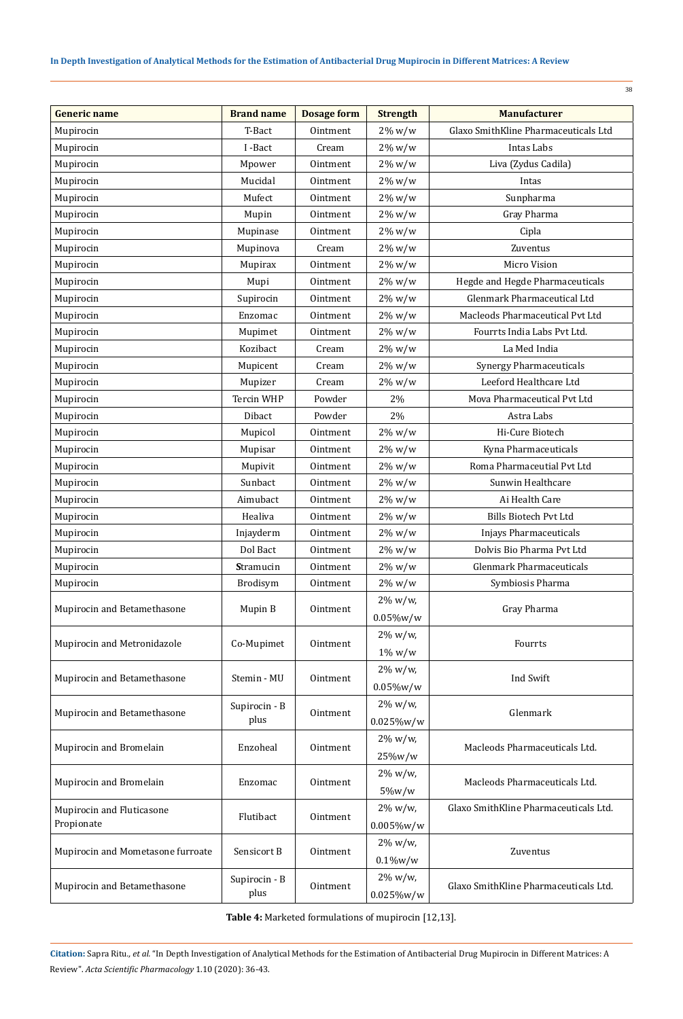## **In Depth Investigation of Analytical Methods for the Estimation of Antibacterial Drug Mupirocin in Different Matrices: A Review**

| <b>Generic name</b><br><b>Brand name</b><br><b>Dosage form</b><br><b>Manufacturer</b><br><b>Strength</b><br>Glaxo SmithKline Pharmaceuticals Ltd<br>Mupirocin<br>T-Bact<br>$2\%$ w/w<br>Ointment<br>Mupirocin<br>I-Bact<br>Cream<br>$2\%$ w/w<br>Intas Labs<br>Liva (Zydus Cadila)<br>Mupirocin<br>Mpower<br>$2\%$ w/w<br>Ointment<br>Mupirocin<br>Mucidal<br>Ointment<br>$2\%$ w/w<br>Intas<br>Sunpharma<br>Mupirocin<br>Mufect<br>$2\%$ w/w<br>Ointment<br>Gray Pharma<br>Mupirocin<br>Ointment<br>$2\%$ w/w<br>Mupin |  |
|-------------------------------------------------------------------------------------------------------------------------------------------------------------------------------------------------------------------------------------------------------------------------------------------------------------------------------------------------------------------------------------------------------------------------------------------------------------------------------------------------------------------------|--|
|                                                                                                                                                                                                                                                                                                                                                                                                                                                                                                                         |  |
|                                                                                                                                                                                                                                                                                                                                                                                                                                                                                                                         |  |
|                                                                                                                                                                                                                                                                                                                                                                                                                                                                                                                         |  |
|                                                                                                                                                                                                                                                                                                                                                                                                                                                                                                                         |  |
|                                                                                                                                                                                                                                                                                                                                                                                                                                                                                                                         |  |
|                                                                                                                                                                                                                                                                                                                                                                                                                                                                                                                         |  |
|                                                                                                                                                                                                                                                                                                                                                                                                                                                                                                                         |  |
| Mupirocin<br>Cipla<br>Mupinase<br>$2\%$ w/w<br>Ointment                                                                                                                                                                                                                                                                                                                                                                                                                                                                 |  |
| Mupirocin<br>Mupinova<br>Zuventus<br>Cream<br>$2\%$ w/w                                                                                                                                                                                                                                                                                                                                                                                                                                                                 |  |
| Micro Vision<br>Mupirocin<br>Mupirax<br>$2\%$ w/w<br>Ointment                                                                                                                                                                                                                                                                                                                                                                                                                                                           |  |
| Hegde and Hegde Pharmaceuticals<br>Mupirocin<br>Mupi<br>Ointment<br>$2\%$ w/w                                                                                                                                                                                                                                                                                                                                                                                                                                           |  |
| Glenmark Pharmaceutical Ltd<br>Supirocin<br>Mupirocin<br>$2\%$ w/w<br>Ointment                                                                                                                                                                                                                                                                                                                                                                                                                                          |  |
| Mupirocin<br>Enzomac<br>Macleods Pharmaceutical Pvt Ltd<br>Ointment<br>$2\%$ w/w                                                                                                                                                                                                                                                                                                                                                                                                                                        |  |
| Fourrts India Labs Pvt Ltd.<br>Mupirocin<br>Mupimet<br>$2\%$ w/w<br>Ointment                                                                                                                                                                                                                                                                                                                                                                                                                                            |  |
| Kozibact<br>La Med India<br>Mupirocin<br>Cream<br>$2\%$ w/w                                                                                                                                                                                                                                                                                                                                                                                                                                                             |  |
| <b>Synergy Pharmaceuticals</b><br>Mupirocin<br>Mupicent<br>Cream<br>$2\%$ w/w                                                                                                                                                                                                                                                                                                                                                                                                                                           |  |
| Leeford Healthcare Ltd<br>Mupirocin<br>Mupizer<br>Cream<br>$2\%$ w/w                                                                                                                                                                                                                                                                                                                                                                                                                                                    |  |
| Powder<br>Mova Pharmaceutical Pvt Ltd<br>Mupirocin<br>Tercin WHP<br>2%                                                                                                                                                                                                                                                                                                                                                                                                                                                  |  |
| Mupirocin<br>Powder<br>2%<br>Astra Labs<br>Dibact                                                                                                                                                                                                                                                                                                                                                                                                                                                                       |  |
| Mupirocin<br>Mupicol<br>Hi-Cure Biotech<br>$2\%$ w/w<br>Ointment                                                                                                                                                                                                                                                                                                                                                                                                                                                        |  |
| Mupirocin<br>Kyna Pharmaceuticals<br>Mupisar<br>Ointment<br>$2\%$ w/w                                                                                                                                                                                                                                                                                                                                                                                                                                                   |  |
| Roma Pharmaceutial Pvt Ltd<br>Mupirocin<br>Mupivit<br>$2\%$ w/w<br>Ointment                                                                                                                                                                                                                                                                                                                                                                                                                                             |  |
| Sunbact<br>Sunwin Healthcare<br>Mupirocin<br>Ointment<br>$2\%$ w/w                                                                                                                                                                                                                                                                                                                                                                                                                                                      |  |
| Ai Health Care<br>Mupirocin<br>Aimubact<br>$2\%$ w/w<br>Ointment                                                                                                                                                                                                                                                                                                                                                                                                                                                        |  |
| Healiva<br><b>Bills Biotech Pvt Ltd</b><br>Mupirocin<br>Ointment<br>$2\%$ w/w                                                                                                                                                                                                                                                                                                                                                                                                                                           |  |
| Mupirocin<br>Injayderm<br>$2\%$ w/w<br><b>Injays Pharmaceuticals</b><br>Ointment                                                                                                                                                                                                                                                                                                                                                                                                                                        |  |
| Dolvis Bio Pharma Pvt Ltd<br>Dol Bact<br>Mupirocin<br>Ointment<br>$2\%$ w/w                                                                                                                                                                                                                                                                                                                                                                                                                                             |  |
| <b>Glenmark Pharmaceuticals</b><br>Mupirocin<br>$2\%$ w/w<br><b>Stramucin</b><br>Ointment                                                                                                                                                                                                                                                                                                                                                                                                                               |  |
| 2% w/w<br>Mupirocin<br>Brodisym<br>Ointment<br>Symbiosis Pharma                                                                                                                                                                                                                                                                                                                                                                                                                                                         |  |
| $2\% w/w,$                                                                                                                                                                                                                                                                                                                                                                                                                                                                                                              |  |
| Gray Pharma<br>Mupirocin and Betamethasone<br>Mupin B<br>Ointment<br>$0.05\%$ w/w                                                                                                                                                                                                                                                                                                                                                                                                                                       |  |
| 2% w/w,                                                                                                                                                                                                                                                                                                                                                                                                                                                                                                                 |  |
| Mupirocin and Metronidazole<br>Ointment<br>Fourrts<br>Co-Mupimet<br>$1\%$ w/w                                                                                                                                                                                                                                                                                                                                                                                                                                           |  |
| $2\% \text{ w/w}$                                                                                                                                                                                                                                                                                                                                                                                                                                                                                                       |  |
| Mupirocin and Betamethasone<br>Stemin - MU<br>Ointment<br>Ind Swift<br>$0.05\%$ w/w                                                                                                                                                                                                                                                                                                                                                                                                                                     |  |
| 2% w/w,<br>Supirocin - B                                                                                                                                                                                                                                                                                                                                                                                                                                                                                                |  |
| Mupirocin and Betamethasone<br>Glenmark<br>Ointment<br>plus<br>$0.025\%$ w/w                                                                                                                                                                                                                                                                                                                                                                                                                                            |  |
| 2% w/w,                                                                                                                                                                                                                                                                                                                                                                                                                                                                                                                 |  |
| Mupirocin and Bromelain<br>Enzoheal<br>Ointment<br>Macleods Pharmaceuticals Ltd.<br>25%w/w                                                                                                                                                                                                                                                                                                                                                                                                                              |  |
| 2% w/w,                                                                                                                                                                                                                                                                                                                                                                                                                                                                                                                 |  |
| Mupirocin and Bromelain<br>Enzomac<br>Macleods Pharmaceuticals Ltd.<br>Ointment<br>$5\%w/w$                                                                                                                                                                                                                                                                                                                                                                                                                             |  |
| Glaxo SmithKline Pharmaceuticals Ltd.<br>2% w/w,                                                                                                                                                                                                                                                                                                                                                                                                                                                                        |  |
| Mupirocin and Fluticasone<br>Flutibact<br>Ointment<br>Propionate<br>$0.005\%$ w/w                                                                                                                                                                                                                                                                                                                                                                                                                                       |  |
|                                                                                                                                                                                                                                                                                                                                                                                                                                                                                                                         |  |
|                                                                                                                                                                                                                                                                                                                                                                                                                                                                                                                         |  |
| 2% w/w,<br>Mupirocin and Mometasone furroate<br>Sensicort B<br>Ointment<br>Zuventus                                                                                                                                                                                                                                                                                                                                                                                                                                     |  |
| $0.1\%$ w/w<br>2% w/w,<br>Supirocin - B                                                                                                                                                                                                                                                                                                                                                                                                                                                                                 |  |

**Table 4:** Marketed formulations of mupirocin [12,13].

0.025%w/w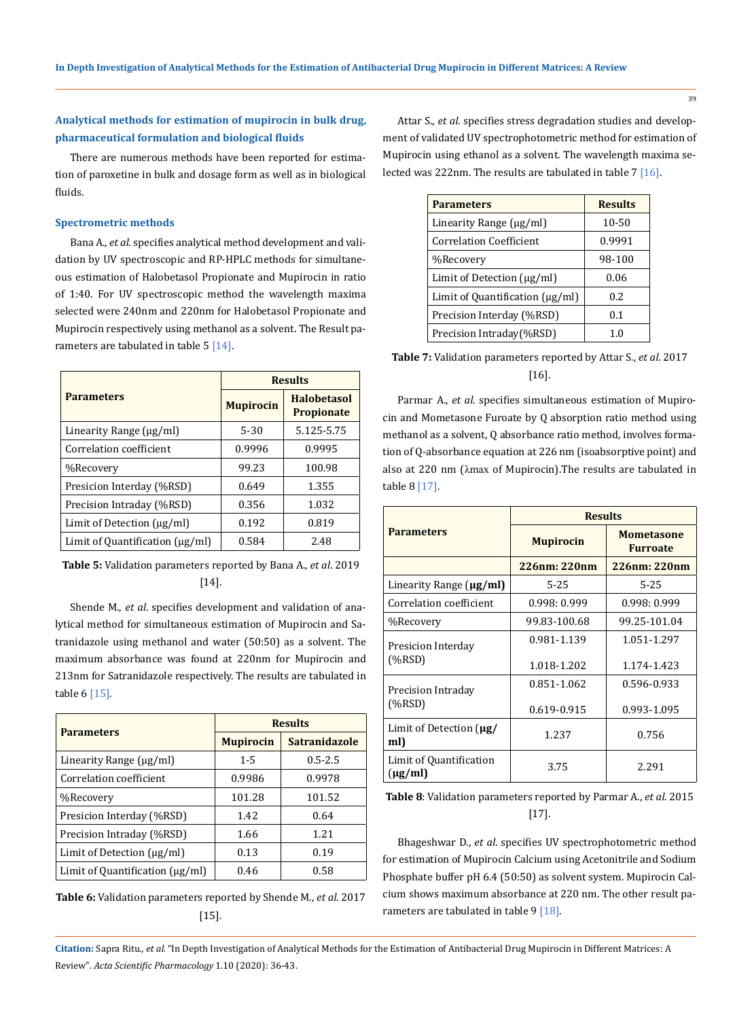### **Analytical methods for estimation of mupirocin in bulk drug, pharmaceutical formulation and biological fluids**

There are numerous methods have been reported for estimation of paroxetine in bulk and dosage form as well as in biological fluids.

#### **Spectrometric methods**

Bana A., *et al*. specifies analytical method development and validation by UV spectroscopic and RP-HPLC methods for simultaneous estimation of Halobetasol Propionate and Mupirocin in ratio of 1:40. For UV spectroscopic method the wavelength maxima selected were 240nm and 220nm for Halobetasol Propionate and Mupirocin respectively using methanol as a solvent. The Result parameters are tabulated in table  $5 \,$  [14].

|                                                 | <b>Results</b>   |                                         |
|-------------------------------------------------|------------------|-----------------------------------------|
| <b>Parameters</b>                               | <b>Mupirocin</b> | <b>Halohetasol</b><br><b>Propionate</b> |
| Linearity Range (µg/ml)                         | $5 - 30$         | 5.125-5.75                              |
| Correlation coefficient                         | 0.9996           | 0.9995                                  |
| %Recovery                                       | 99.23            | 100.98                                  |
| Presicion Interday (%RSD)                       | 0.649            | 1.355                                   |
| Precision Intraday (%RSD)                       | 0.356            | 1.032                                   |
| Limit of Detection $\lceil \mu g/m \rceil$      | 0.192            | 0.819                                   |
| Limit of Quantification $\left(\mu g/ml\right)$ | 0.584            | 2.48                                    |

**Table 5:** Validation parameters reported by Bana A., *et al*. 2019 [14].

Shende M., *et al*. specifies development and validation of analytical method for simultaneous estimation of Mupirocin and Satranidazole using methanol and water (50:50) as a solvent. The maximum absorbance was found at 220nm for Mupirocin and 213nm for Satranidazole respectively. The results are tabulated in table 6 [15].

|                                         | <b>Results</b>   |                      |
|-----------------------------------------|------------------|----------------------|
| <b>Parameters</b>                       | <b>Mupirocin</b> | <b>Satranidazole</b> |
| Linearity Range $\lceil \mu g/m \rceil$ | $1 - 5$          | $0.5 - 2.5$          |
| Correlation coefficient                 | 0.9986           | 0.9978               |
| %Recovery                               | 101.28           | 101.52               |
| Presicion Interday (%RSD)               | 1.42             | 0.64                 |
| Precision Intraday (%RSD)               | 1.66             | 1.21                 |
| Limit of Detection $(\mu g/ml)$         | 0.13             | 0.19                 |
| Limit of Quantification $\mu$ g/ml)     | 0.46             | 0.58                 |

**Table 6:** Validation parameters reported by Shende M., *et al*. 2017 [15].

Attar S., *et al*. specifies stress degradation studies and development of validated UV spectrophotometric method for estimation of Mupirocin using ethanol as a solvent. The wavelength maxima selected was 222nm. The results are tabulated in table 7 [16].

| <b>Parameters</b>                          | <b>Results</b> |
|--------------------------------------------|----------------|
| Linearity Range (µg/ml)                    | 10-50          |
| <b>Correlation Coefficient</b>             | 0.9991         |
| %Recovery                                  | 98-100         |
| Limit of Detection $\lceil \mu g/m \rceil$ | 0.06           |
| Limit of Quantification $(\mu g/ml)$       | 0.2            |
| Precision Interday (%RSD)                  | 0.1            |
| Precision Intraday(%RSD)                   | 1 ∩            |

**Table 7:** Validation parameters reported by Attar S., *et al*. 2017 [16].

Parmar A., *et al*. specifies simultaneous estimation of Mupirocin and Mometasone Furoate by Q absorption ratio method using methanol as a solvent, Q absorbance ratio method, involves formation of Q-absorbance equation at 226 nm (isoabsorptive point) and also at 220 nm (λmax of Mupirocin).The results are tabulated in table 8 [17].

|                                         | <b>Results</b>   |                                      |  |
|-----------------------------------------|------------------|--------------------------------------|--|
| <b>Parameters</b>                       | <b>Mupirocin</b> | <b>Mometasone</b><br><b>Furroate</b> |  |
|                                         | 226nm: 220nm     | 226nm: 220nm                         |  |
| Linearity Range $(\mu g/ml)$            | $5 - 25$         | $5 - 25$                             |  |
| Correlation coefficient                 | 0.998: 0.999     | 0.998: 0.999                         |  |
| %Recovery                               | 99.83-100.68     | 99.25-101.04                         |  |
| Presicion Interday<br>(%RSD)            | 0.981-1.139      | 1.051-1.297                          |  |
|                                         | 1.018-1.202      | 1.174-1.423                          |  |
| Precision Intraday                      | 0.851-1.062      | 0.596-0.933                          |  |
| (%RSD)                                  | 0.619-0.915      | 0.993-1.095                          |  |
| Limit of Detection $\mu$ g/<br>ml)      | 1.237            | 0.756                                |  |
| Limit of Quantification<br>$(\mu g/ml)$ | 3.75             | 2.291                                |  |

**Table 8**: Validation parameters reported by Parmar A., *et al*. 2015 [17].

Bhageshwar D., *et al*. specifies UV spectrophotometric method for estimation of Mupirocin Calcium using Acetonitrile and Sodium Phosphate buffer pH 6.4 (50:50) as solvent system. Mupirocin Calcium shows maximum absorbance at 220 nm. The other result parameters are tabulated in table 9 [18].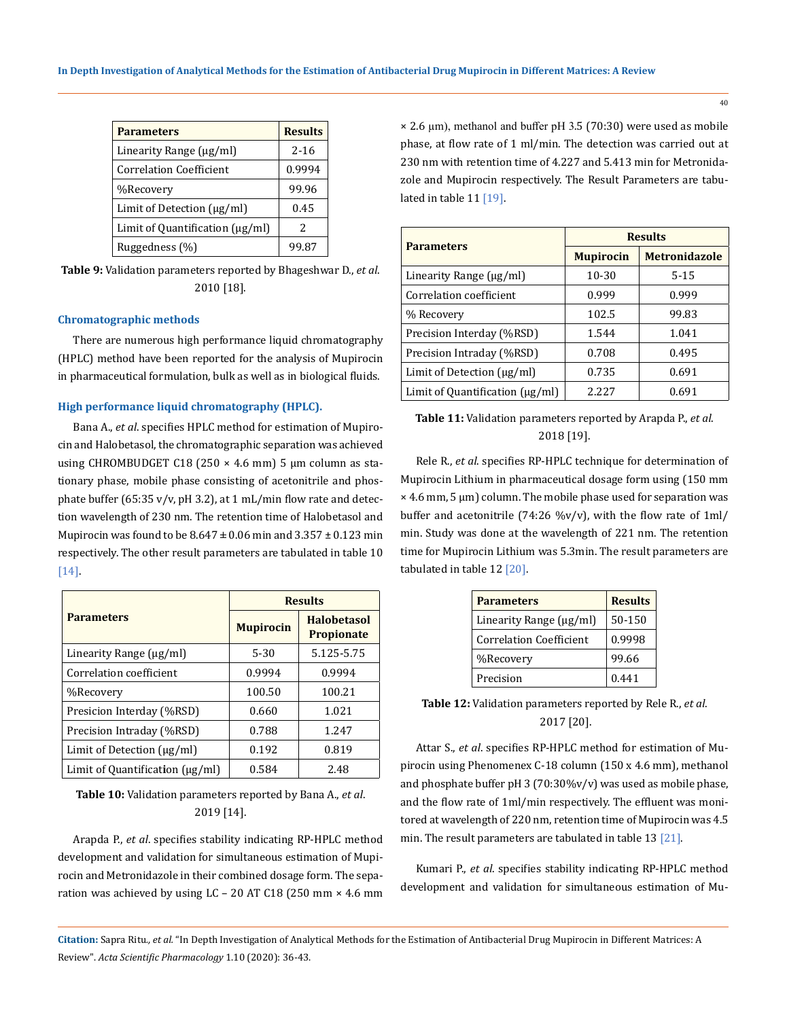| <b>Parameters</b>                    | <b>Results</b> |
|--------------------------------------|----------------|
| Linearity Range (µg/ml)              | $2 - 16$       |
| <b>Correlation Coefficient</b>       | 0.9994         |
| %Recovery                            | 99.96          |
| Limit of Detection $\mu g/ml$        | 0.45           |
| Limit of Quantification $(\mu g/ml)$ | 2              |
| Ruggedness (%)                       | 99.87          |

**Table 9:** Validation parameters reported by Bhageshwar D., *et al*. 2010 [18].

#### **Chromatographic methods**

There are numerous high performance liquid chromatography (HPLC) method have been reported for the analysis of Mupirocin in pharmaceutical formulation, bulk as well as in biological fluids.

#### **High performance liquid chromatography (HPLC).**

Bana A., *et al*. specifies HPLC method for estimation of Mupirocin and Halobetasol, the chromatographic separation was achieved using CHROMBUDGET C18 (250  $\times$  4.6 mm) 5 µm column as stationary phase, mobile phase consisting of acetonitrile and phosphate buffer (65:35 v/v, pH 3.2), at 1 mL/min flow rate and detection wavelength of 230 nm. The retention time of Halobetasol and Mupirocin was found to be 8.647 **±** 0.06 min and 3.357 ± 0.123 min respectively. The other result parameters are tabulated in table 10 [14].

|                                                   | <b>Results</b>   |                                         |
|---------------------------------------------------|------------------|-----------------------------------------|
| <b>Parameters</b>                                 | <b>Mupirocin</b> | <b>Halobetasol</b><br><b>Propionate</b> |
| Linearity Range $\lceil \mu g/m \rceil$           | $5-30$           | 5.125-5.75                              |
| Correlation coefficient                           | 0.9994           | 0.9994                                  |
| %Recovery                                         | 100.50           | 100.21                                  |
| Presicion Interday (%RSD)                         | 0.660            | 1.021                                   |
| Precision Intraday (%RSD)                         | 0.788            | 1.247                                   |
| Limit of Detection $\left(\frac{\mu g}{m}\right)$ | 0.192            | 0.819                                   |
| Limit of Quantification $\lceil \mu g/m \rceil$   | 0.584            | 2.48                                    |

**Table 10:** Validation parameters reported by Bana A., *et al*. 2019 [14].

Arapda P., *et al*. specifies stability indicating RP-HPLC method development and validation for simultaneous estimation of Mupirocin and Metronidazole in their combined dosage form. The separation was achieved by using  $LC - 20$  AT  $C18$  (250 mm  $\times$  4.6 mm

 $\times$  2.6 µm), methanol and buffer pH 3.5 (70:30) were used as mobile phase, at flow rate of 1 ml/min. The detection was carried out at 230 nm with retention time of 4.227 and 5.413 min for Metronidazole and Mupirocin respectively. The Result Parameters are tabulated in table 11 [19].

|                                     | <b>Results</b>   |                      |
|-------------------------------------|------------------|----------------------|
| <b>Parameters</b>                   | <b>Mupirocin</b> | <b>Metronidazole</b> |
| Linearity Range (µg/ml)             | 10-30            | $5 - 15$             |
| Correlation coefficient             | 0.999            | 0.999                |
| % Recovery                          | 102.5            | 99.83                |
| Precision Interday (%RSD)           | 1.544            | 1.041                |
| Precision Intraday (%RSD)           | 0.708            | 0.495                |
| Limit of Detection (µg/ml)          | 0.735            | 0.691                |
| Limit of Quantification $\mu$ g/ml) | 2.227            | 0.691                |

**Table 11:** Validation parameters reported by Arapda P., *et al*. 2018 [19].

Rele R., *et al*. specifies RP-HPLC technique for determination of Mupirocin Lithium in pharmaceutical dosage form using (150 mm × 4.6 mm, 5 µm) column. The mobile phase used for separation was buffer and acetonitrile (74:26 %v/v), with the flow rate of 1ml/ min. Study was done at the wavelength of 221 nm. The retention time for Mupirocin Lithium was 5.3min. The result parameters are tabulated in table 12 [20].

| <b>Parameters</b>            | <b>Results</b> |
|------------------------------|----------------|
| Linearity Range $(\mu g/ml)$ | 50-150         |
| Correlation Coefficient      | 0.9998         |
| %Recovery                    | 99.66          |
| Precision                    | 0.441          |

## **Table 12:** Validation parameters reported by Rele R., *et al*. 2017 [20].

Attar S., *et al*. specifies RP-HPLC method for estimation of Mupirocin using Phenomenex C-18 column (150 x 4.6 mm), methanol and phosphate buffer pH 3 (70:30%v/v) was used as mobile phase, and the flow rate of 1ml/min respectively. The effluent was monitored at wavelength of 220 nm, retention time of Mupirocin was 4.5 min. The result parameters are tabulated in table 13 [21].

Kumari P., *et al*. specifies stability indicating RP-HPLC method development and validation for simultaneous estimation of Mu-

40

**Citation:** Sapra Ritu*., et al.* "In Depth Investigation of Analytical Methods for the Estimation of Antibacterial Drug Mupirocin in Different Matrices: A Review". *Acta Scientific Pharmacology* 1.10 (2020): 36-43.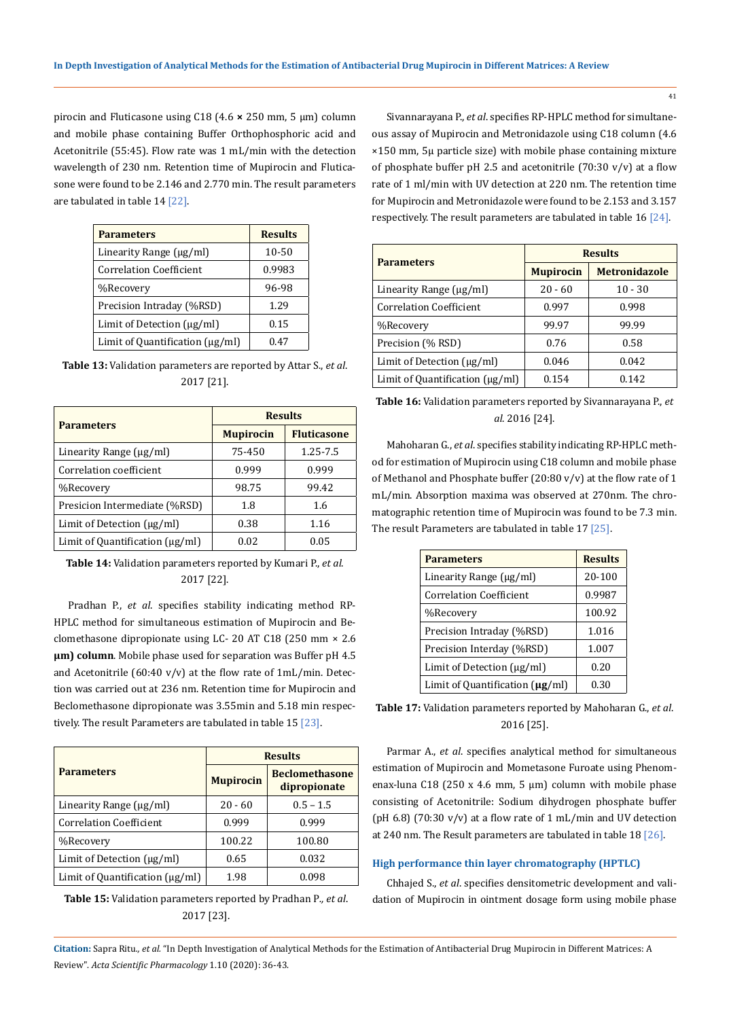pirocin and Fluticasone using C18 (4.6 **×** 250 mm, 5 µm) column and mobile phase containing Buffer Orthophosphoric acid and Acetonitrile (55:45). Flow rate was 1 mL/min with the detection wavelength of 230 nm. Retention time of Mupirocin and Fluticasone were found to be 2.146 and 2.770 min. The result parameters are tabulated in table 14 [22].

| <b>Parameters</b>                          | <b>Results</b> |
|--------------------------------------------|----------------|
| Linearity Range $\lceil \mu g/m \rceil$    | 10-50          |
| <b>Correlation Coefficient</b>             | 0.9983         |
| %Recovery                                  | 96-98          |
| Precision Intraday (%RSD)                  | 1.29           |
| Limit of Detection $\lceil \mu g/m \rceil$ | 0.15           |
| Limit of Quantification $\mu$ g/ml)        | በ 47           |

**Table 13:** Validation parameters are reported by Attar S., *et al*. 2017 [21].

|                                                   | <b>Results</b>   |                    |
|---------------------------------------------------|------------------|--------------------|
| <b>Parameters</b>                                 | <b>Mupirocin</b> | <b>Fluticasone</b> |
| Linearity Range (µg/ml)                           | 75-450           | $1.25 - 7.5$       |
| Correlation coefficient                           | 0.999            | 0.999              |
| %Recovery                                         | 98.75            | 99.42              |
| Presicion Intermediate (%RSD)                     | 1.8              | 1.6                |
| Limit of Detection $\left(\frac{\mu g}{m}\right)$ | 0.38             | 1.16               |
| Limit of Quantification $\lceil \mu g/m \rceil$   | 0.02             | 0.05               |

**Table 14:** Validation parameters reported by Kumari P., *et al*. 2017 [22].

Pradhan P., *et al*. specifies stability indicating method RP-HPLC method for simultaneous estimation of Mupirocin and Beclomethasone dipropionate using LC- 20 AT C18 (250 mm × 2.6 **µm) column**. Mobile phase used for separation was Buffer pH 4.5 and Acetonitrile (60:40 v/v) at the flow rate of  $1 mL/min$ . Detection was carried out at 236 nm. Retention time for Mupirocin and Beclomethasone dipropionate was 3.55min and 5.18 min respectively. The result Parameters are tabulated in table 15 [23].

|                                    |                  | <b>Results</b>                        |  |
|------------------------------------|------------------|---------------------------------------|--|
| <b>Parameters</b>                  | <b>Mupirocin</b> | <b>Beclomethasone</b><br>dipropionate |  |
| Linearity Range (µg/ml)            | $20 - 60$        | $0.5 - 1.5$                           |  |
| <b>Correlation Coefficient</b>     | 0.999            | 0.999                                 |  |
| %Recovery                          | 100.22           | 100.80                                |  |
| Limit of Detection $\mu g/ml$      | 0.65             | 0.032                                 |  |
| Limit of Quantification $\mu g/ml$ | 1.98             | 0.098                                 |  |

**Table 15:** Validation parameters reported by Pradhan P*., et al*. 2017 [23].

Sivannarayana P., *et al*. specifies RP-HPLC method for simultaneous assay of Mupirocin and Metronidazole using C18 column (4.6 ×150 mm, 5µ particle size) with mobile phase containing mixture of phosphate buffer pH 2.5 and acetonitrile (70:30  $v/v$ ) at a flow rate of 1 ml/min with UV detection at 220 nm. The retention time for Mupirocin and Metronidazole were found to be 2.153 and 3.157 respectively. The result parameters are tabulated in table 16 [24].

| <b>Parameters</b>                               | <b>Results</b>   |                      |
|-------------------------------------------------|------------------|----------------------|
|                                                 | <b>Mupirocin</b> | <b>Metronidazole</b> |
| Linearity Range $\lceil \mu g/m \rceil$         | $20 - 60$        | $10 - 30$            |
| <b>Correlation Coefficient</b>                  | 0.997            | 0.998                |
| %Recovery                                       | 99.97            | 99.99                |
| Precision (% RSD)                               | 0.76             | 0.58                 |
| Limit of Detection $\lceil \mu g/m \rceil$      | 0.046            | 0.042                |
| Limit of Quantification $\lceil \mu g/m \rceil$ | 0.154            | 0.142                |

**Table 16:** Validation parameters reported by Sivannarayana P., *et al*. 2016 [24].

Mahoharan G., *et al*. specifies stability indicating RP-HPLC method for estimation of Mupirocin using C18 column and mobile phase of Methanol and Phosphate buffer (20:80 v/v) at the flow rate of 1 mL/min. Absorption maxima was observed at 270nm. The chromatographic retention time of Mupirocin was found to be 7.3 min. The result Parameters are tabulated in table 17 [25].

| <b>Parameters</b>                    | <b>Results</b> |
|--------------------------------------|----------------|
| Linearity Range (µg/ml)              | 20-100         |
| <b>Correlation Coefficient</b>       | 0.9987         |
| %Recovery                            | 100.92         |
| Precision Intraday (%RSD)            | 1.016          |
| Precision Interday (%RSD)            | 1.007          |
| Limit of Detection $\mu$ g/ml)       | 0.20           |
| Limit of Quantification $(\mu g/ml)$ | በ 3በ           |

**Table 17:** Validation parameters reported by Mahoharan G., *et al*. 2016 [25].

Parmar A., *et al*. specifies analytical method for simultaneous estimation of Mupirocin and Mometasone Furoate using Phenomenax-luna C18 (250 x 4.6 mm, 5  $\mu$ m) column with mobile phase consisting of Acetonitrile: Sodium dihydrogen phosphate buffer (pH 6.8) (70:30  $v/v$ ) at a flow rate of 1 mL/min and UV detection at 240 nm. The Result parameters are tabulated in table 18 [26].

#### **High performance thin layer chromatography (HPTLC)**

Chhajed S., *et al*. specifies densitometric development and validation of Mupirocin in ointment dosage form using mobile phase

**Citation:** Sapra Ritu*., et al.* "In Depth Investigation of Analytical Methods for the Estimation of Antibacterial Drug Mupirocin in Different Matrices: A Review". *Acta Scientific Pharmacology* 1.10 (2020): 36-43.

41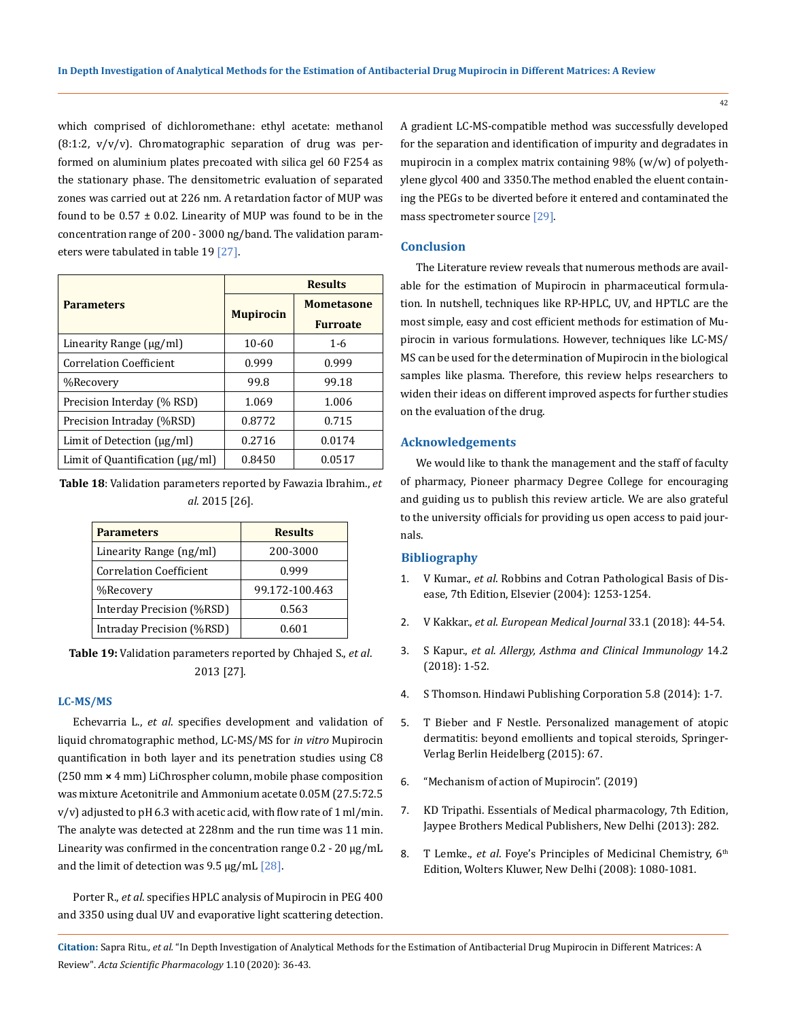which comprised of dichloromethane: ethyl acetate: methanol  $(8:1:2, v/v/v)$ . Chromatographic separation of drug was performed on aluminium plates precoated with silica gel 60 F254 as the stationary phase. The densitometric evaluation of separated zones was carried out at 226 nm. A retardation factor of MUP was found to be  $0.57 \pm 0.02$ . Linearity of MUP was found to be in the concentration range of 200 - 3000 ng/band. The validation parameters were tabulated in table 19 [27].

|                                                 |                  | <b>Results</b>    |
|-------------------------------------------------|------------------|-------------------|
| <b>Parameters</b>                               | <b>Mupirocin</b> | <b>Mometasone</b> |
|                                                 |                  | <b>Furroate</b>   |
| Linearity Range $\lceil \mu g/m \rceil$         | $10 - 60$        | $1 - 6$           |
| <b>Correlation Coefficient</b>                  | 0.999            | 0.999             |
| %Recovery                                       | 99.8             | 99.18             |
| Precision Interday (% RSD)                      | 1.069            | 1.006             |
| Precision Intraday (%RSD)                       | 0.8772           | 0.715             |
| Limit of Detection (µg/ml)                      | 0.2716           | 0.0174            |
| Limit of Quantification $\left(\mu g/ml\right)$ | 0.8450           | 0.0517            |

**Table 18**: Validation parameters reported by Fawazia Ibrahim., *et al*. 2015 [26].

| <b>Parameters</b>              | <b>Results</b> |
|--------------------------------|----------------|
| Linearity Range (ng/ml)        | 200-3000       |
| <b>Correlation Coefficient</b> | 0.999          |
| %Recovery                      | 99.172-100.463 |
| Interday Precision (%RSD)      | 0.563          |
| Intraday Precision (%RSD)      | 0.601          |

**Table 19:** Validation parameters reported by Chhajed S., *et al*. 2013 [27].

#### **LC-MS/MS**

Echevarria L., *et al*. specifies development and validation of liquid chromatographic method, LC-MS/MS for *in vitro* Mupirocin quantification in both layer and its penetration studies using C8 (250 mm **×** 4 mm) LiChrospher column, mobile phase composition was mixture Acetonitrile and Ammonium acetate 0.05M (27.5:72.5  $v/v$ ) adjusted to pH 6.3 with acetic acid, with flow rate of 1 ml/min. The analyte was detected at 228nm and the run time was 11 min. Linearity was confirmed in the concentration range  $0.2$  - 20 µg/mL and the limit of detection was 9.5 µg/mL [28].

Porter R., *et al*. specifies HPLC analysis of Mupirocin in PEG 400 and 3350 using dual UV and evaporative light scattering detection. A gradient LC-MS-compatible method was successfully developed for the separation and identification of impurity and degradates in mupirocin in a complex matrix containing 98% (w/w) of polyethylene glycol 400 and 3350.The method enabled the eluent containing the PEGs to be diverted before it entered and contaminated the mass spectrometer source [29].

#### **Conclusion**

The Literature review reveals that numerous methods are available for the estimation of Mupirocin in pharmaceutical formulation. In nutshell, techniques like RP-HPLC, UV, and HPTLC are the most simple, easy and cost efficient methods for estimation of Mupirocin in various formulations. However, techniques like LC-MS/ MS can be used for the determination of Mupirocin in the biological samples like plasma. Therefore, this review helps researchers to widen their ideas on different improved aspects for further studies on the evaluation of the drug.

#### **Acknowledgements**

We would like to thank the management and the staff of faculty of pharmacy, Pioneer pharmacy Degree College for encouraging and guiding us to publish this review article. We are also grateful to the university officials for providing us open access to paid journals.

#### **Bibliography**

- 1. V Kumar., *et al*. Robbins and Cotran Pathological Basis of Disease, 7th Edition, Elsevier (2004): 1253-1254.
- 2. V Kakkar., *et al*. *European Medical Journal* 33.1 (2018): 44-54.
- 3. S Kapur., *et al. Allergy, Asthma and Clinical Immunology* 14.2 (2018): 1-52.
- 4. S Thomson. Hindawi Publishing Corporation 5.8 (2014): 1-7.
- 5. T Bieber and F Nestle. Personalized management of atopic dermatitis: beyond emollients and topical steroids, Springer-Verlag Berlin Heidelberg (2015): 67.
- 6. "Mechanism of action of Mupirocin". (2019)
- 7. KD Tripathi. Essentials of Medical pharmacology, 7th Edition, Jaypee Brothers Medical Publishers, New Delhi (2013): 282.
- 8. T Lemke., *et al.* Foye's Principles of Medicinal Chemistry, 6<sup>th</sup> Edition, Wolters Kluwer, New Delhi (2008): 1080-1081.

**Citation:** Sapra Ritu*., et al.* "In Depth Investigation of Analytical Methods for the Estimation of Antibacterial Drug Mupirocin in Different Matrices: A Review". *Acta Scientific Pharmacology* 1.10 (2020): 36-43.

42